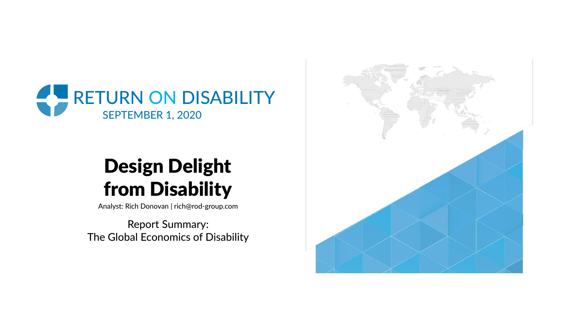

# Design Delight from Disability

Analyst: Rich Donovan | rich@rod-group.com

Report Summary: The Global Economics of Disability

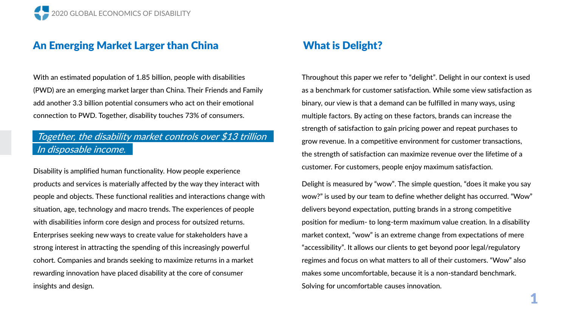# An Emerging Market Larger than China

With an estimated population of 1.85 billion, people with disabilities (PWD) are an emerging market larger than China. Their Friends and Family add another 3.3 billion potential consumers who act on their emotional connection to PWD. Together, disability touches 73% of consumers.

## Together, the disability market controls over \$13 trillion In disposable income.

Disability is amplified human functionality. How people experience products and services is materially affected by the way they interact with people and objects. These functional realities and interactions change with situation, age, technology and macro trends. The experiences of people with disabilities inform core design and process for outsized returns. Enterprises seeking new ways to create value for stakeholders have a strong interest in attracting the spending of this increasingly powerful cohort. Companies and brands seeking to maximize returns in a market rewarding innovation have placed disability at the core of consumer insights and design.

# What is Delight?

Throughout this paper we refer to "delight". Delight in our context is used as a benchmark for customer satisfaction. While some view satisfaction as binary, our view is that a demand can be fulfilled in many ways, using multiple factors. By acting on these factors, brands can increase the strength of satisfaction to gain pricing power and repeat purchases to grow revenue. In a competitive environment for customer transactions, the strength of satisfaction can maximize revenue over the lifetime of a customer. For customers, people enjoy maximum satisfaction.

Delight is measured by "wow". The simple question, "does it make you say wow?" is used by our team to define whether delight has occurred. "Wow" delivers beyond expectation, putting brands in a strong competitive position for medium- to long-term maximum value creation. In a disability market context, "wow" is an extreme change from expectations of mere "accessibility". It allows our clients to get beyond poor legal/regulatory regimes and focus on what matters to all of their customers. "Wow" also makes some uncomfortable, because it is a non-standard benchmark. Solving for uncomfortable causes innovation.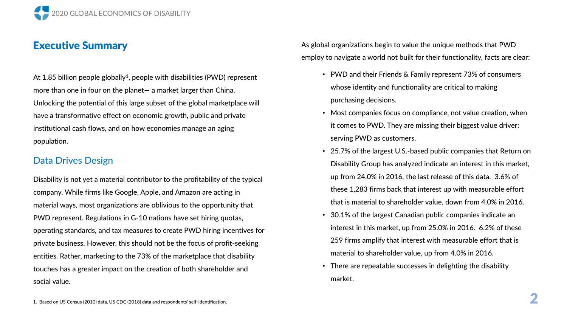

## Executive Summary

At 1.85 billion people globally<sup>1</sup>, people with disabilities (PWD) represent more than one in four on the planet— a market larger than China. Unlocking the potential of this large subset of the global marketplace will have a transformative effect on economic growth, public and private institutional cash flows, and on how economies manage an aging population.

#### Data Drives Design

Disability is not yet a material contributor to the profitability of the typical company. While firms like Google, Apple, and Amazon are acting in material ways, most organizations are oblivious to the opportunity that PWD represent. Regulations in G-10 nations have set hiring quotas, operating standards, and tax measures to create PWD hiring incentives for private business. However, this should not be the focus of profit-seeking entities. Rather, marketing to the 73% of the marketplace that disability touches has a greater impact on the creation of both shareholder and social value.

As global organizations begin to value the unique methods that PWD employ to navigate a world not built for their functionality, facts are clear:

- PWD and their Friends & Family represent 73% of consumers whose identity and functionality are critical to making purchasing decisions.
- Most companies focus on compliance, not value creation, when it comes to PWD. They are missing their biggest value driver: serving PWD as customers.
- 25.7% of the largest U.S.-based public companies that Return on Disability Group has analyzed indicate an interest in this market, up from 24.0% in 2016, the last release of this data. 3.6% of these 1,283 firms back that interest up with measurable effort that is material to shareholder value, down from 4.0% in 2016.
- 30.1% of the largest Canadian public companies indicate an interest in this market, up from 25.0% in 2016. 6.2% of these 259 firms amplify that interest with measurable effort that is material to shareholder value, up from 4.0% in 2016.
- There are repeatable successes in delighting the disability market.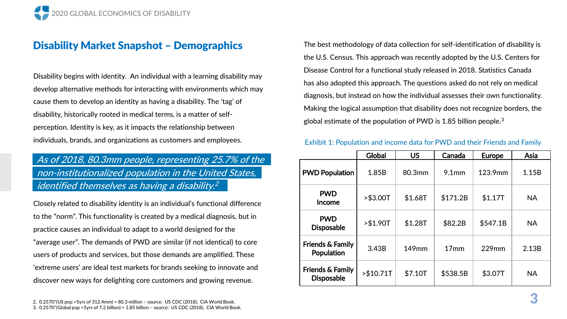# Disability Market Snapshot – Demographics

Disability begins with identity. An individual with a learning disability may develop alternative methods for interacting with environments which may cause them to develop an identity as having a disability. The 'tag' of disability, historically rooted in medical terms, is a matter of selfperception. Identity is key, as it impacts the relationship between individuals, brands, and organizations as customers and employees.

# As of 2018, 80.3mm people, representing 25.7% of the non-institutionalized population in the United States, identified themselves as having a disability. 2

Closely related to disability identity is an individual's functional difference to the "norm". This functionality is created by a medical diagnosis, but in practice causes an individual to adapt to a world designed for the "average user". The demands of PWD are similar (if not identical) to core users of products and services, but those demands are amplified. These 'extreme users' are ideal test markets for brands seeking to innovate and discover new ways for delighting core customers and growing revenue.

The best methodology of data collection for self-identification of disability is the U.S. Census. This approach was recently adopted by the U.S. Centers for Disease Control for a functional study released in 2018. Statistics Canada has also adopted this approach. The questions asked do not rely on medical diagnosis, but instead on how the individual assesses their own functionality. Making the logical assumption that disability does not recognize borders, the global estimate of the population of PWD is 1.85 billion people.<sup>3</sup>

#### Exhibit 1: Population and income data for PWD and their Friends and Family

|                                                  | <b>Global</b> | <b>US</b> | Canada            | <b>Europe</b> | Asia      |
|--------------------------------------------------|---------------|-----------|-------------------|---------------|-----------|
| <b>PWD Population</b>                            | 1.85B         | 80.3mm    | 9.1 <sub>mm</sub> | 123.9mm       | 1.15B     |
| <b>PWD</b><br>Income                             | > \$3.00T     | \$1.68T   | \$171.2B          | \$1.17T       | <b>NA</b> |
| <b>PWD</b><br><b>Disposable</b>                  | > \$1.90T     | \$1.28T   | \$82.2B           | \$547.1B      | <b>NA</b> |
| Friends & Family<br>Population                   | 3.43B         | 149mm     | 17 <sub>mm</sub>  | 229mm         | 2.13B     |
| <b>Friends &amp; Family</b><br><b>Disposable</b> | $> $10.71$ T  | \$7.10T   | \$538.5B          | \$3.07T       | <b>NA</b> |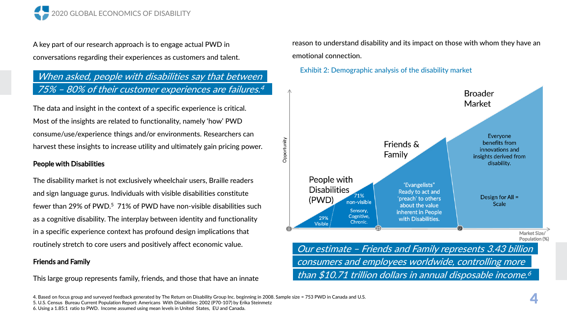

A key part of our research approach is to engage actual PWD in conversations regarding their experiences as customers and talent.

## When asked, people with disabilities say that between 75% – 80% of their customer experiences are failures. 4

The data and insight in the context of a specific experience is critical. Most of the insights are related to functionality, namely 'how' PWD consume/use/experience things and/or environments. Researchers can harvest these insights to increase utility and ultimately gain pricing power.

#### People with Disabilities

The disability market is not exclusively wheelchair users, Braille readers and sign language gurus. Individuals with visible disabilities constitute fewer than 29% of PWD.<sup>5</sup> 71% of PWD have non-visible disabilities such as a cognitive disability. The interplay between identity and functionality in a specific experience context has profound design implications that routinely stretch to core users and positively affect economic value.

#### Friends and Family

This large group represents family, friends, and those that have an innate

reason to understand disability and its impact on those with whom they have an emotional connection.

#### Exhibit 2: Demographic analysis of the disability market



4. Based on focus group and surveyed feedback generated by The Return on Disability Group Inc. beginning in 2008. Sample size = 753 PWD in Canada and U.S. 5. U.S. Census Bureau Current Population Report: Americans With Disabilities: 2002 (P70-107) by Erika Steinmetz 6. Using a 1.85:1 ratio to PWD. Income assumed using mean levels in United States, EU and Canada.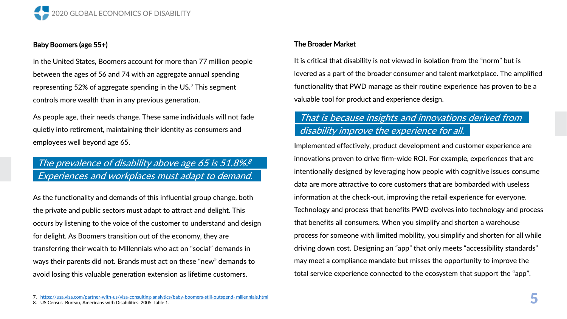

#### Baby Boomers (age 55+)

In the United States, Boomers account for more than 77 million people between the ages of 56 and 74 with an aggregate annual spending representing 52% of aggregate spending in the US.<sup>7</sup> This segment controls more wealth than in any previous generation.

As people age, their needs change. These same individuals will not fade quietly into retirement, maintaining their identity as consumers and employees well beyond age 65.

## The prevalence of disability above age 65 is 51.8%.<sup>8</sup> Experiences and workplaces must adapt to demand.

As the functionality and demands of this influential group change, both the private and public sectors must adapt to attract and delight. This occurs by listening to the voice of the customer to understand and design for delight. As Boomers transition out of the economy, they are transferring their wealth to Millennials who act on "social" demands in ways their parents did not. Brands must act on these "new" demands to avoid losing this valuable generation extension as lifetime customers.

#### The Broader Market

It is critical that disability is not viewed in isolation from the "norm" but is levered as a part of the broader consumer and talent marketplace. The amplified functionality that PWD manage as their routine experience has proven to be a valuable tool for product and experience design.

## That is because insights and innovations derived from disability improve the experience for all.

Implemented effectively, product development and customer experience are innovations proven to drive firm-wide ROI. For example, experiences that are intentionally designed by leveraging how people with cognitive issues consume data are more attractive to core customers that are bombarded with useless information at the check-out, improving the retail experience for everyone. Technology and process that benefits PWD evolves into technology and process that benefits all consumers. When you simplify and shorten a warehouse process for someone with limited mobility, you simplify and shorten for all while driving down cost. Designing an "app" that only meets "accessibility standards" may meet a compliance mandate but misses the opportunity to improve the total service experience connected to the ecosystem that support the "app".

- 7. [https://usa.visa.com/partner-with-us/visa-consulting-analytics/baby-boomers-still-outspend-](https://usa.visa.com/partner-with-us/visa-consulting-analytics/baby-boomers-still-outspend-%20millennials.html) millennials.html
- 8. US Census Bureau, Americans with Disabilities: 2005 Table 1.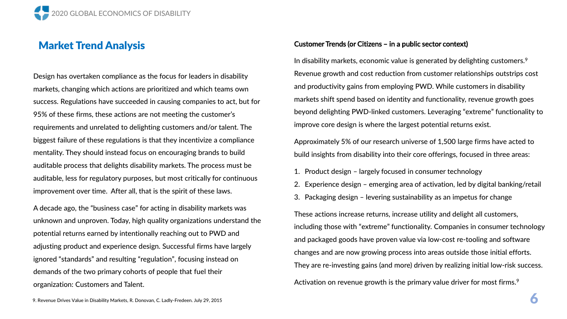# Market Trend Analysis

Design has overtaken compliance as the focus for leaders in disability markets, changing which actions are prioritized and which teams own success. Regulations have succeeded in causing companies to act, but for 95% of these firms, these actions are not meeting the customer's requirements and unrelated to delighting customers and/or talent. The biggest failure of these regulations is that they incentivize a compliance mentality. They should instead focus on encouraging brands to build auditable process that delights disability markets. The process must be auditable, less for regulatory purposes, but most critically for continuous improvement over time. After all, that is the spirit of these laws.

A decade ago, the "business case" for acting in disability markets was unknown and unproven. Today, high quality organizations understand the potential returns earned by intentionally reaching out to PWD and adjusting product and experience design. Successful firms have largely ignored "standards" and resulting "regulation", focusing instead on demands of the two primary cohorts of people that fuel their organization: Customers and Talent.

#### Customer Trends (or Citizens – in a public sector context)

In disability markets, economic value is generated by delighting customers.<sup>9</sup> Revenue growth and cost reduction from customer relationships outstrips cost and productivity gains from employing PWD. While customers in disability markets shift spend based on identity and functionality, revenue growth goes beyond delighting PWD-linked customers. Leveraging "extreme" functionality to improve core design is where the largest potential returns exist.

Approximately 5% of our research universe of 1,500 large firms have acted to build insights from disability into their core offerings, focused in three areas:

- 1. Product design largely focused in consumer technology
- 2. Experience design emerging area of activation, led by digital banking/retail
- 3. Packaging design levering sustainability as an impetus for change

These actions increase returns, increase utility and delight all customers, including those with "extreme" functionality. Companies in consumer technology and packaged goods have proven value via low-cost re-tooling and software changes and are now growing process into areas outside those initial efforts. They are re-investing gains (and more) driven by realizing initial low-risk success.

Activation on revenue growth is the primary value driver for most firms.<sup>9</sup>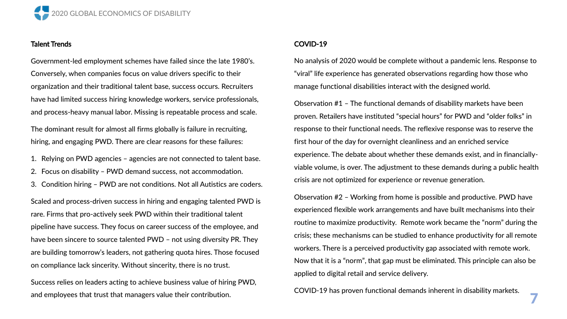

#### Talent Trends

Government-led employment schemes have failed since the late 1980's. Conversely, when companies focus on value drivers specific to their organization and their traditional talent base, success occurs. Recruiters have had limited success hiring knowledge workers, service professionals, and process-heavy manual labor. Missing is repeatable process and scale.

The dominant result for almost all firms globally is failure in recruiting, hiring, and engaging PWD. There are clear reasons for these failures:

- 1. Relying on PWD agencies agencies are not connected to talent base.
- 2. Focus on disability PWD demand success, not accommodation.
- 3. Condition hiring PWD are not conditions. Not all Autistics are coders.

Scaled and process-driven success in hiring and engaging talented PWD is rare. Firms that pro-actively seek PWD within their traditional talent pipeline have success. They focus on career success of the employee, and have been sincere to source talented PWD – not using diversity PR. They are building tomorrow's leaders, not gathering quota hires. Those focused on compliance lack sincerity. Without sincerity, there is no trust.

Success relies on leaders acting to achieve business value of hiring PWD, and employees that trust that managers value their contribution.

#### COVID-19

No analysis of 2020 would be complete without a pandemic lens. Response to "viral" life experience has generated observations regarding how those who manage functional disabilities interact with the designed world.

Observation #1 – The functional demands of disability markets have been proven. Retailers have instituted "special hours" for PWD and "older folks" in response to their functional needs. The reflexive response was to reserve the first hour of the day for overnight cleanliness and an enriched service experience. The debate about whether these demands exist, and in financiallyviable volume, is over. The adjustment to these demands during a public health crisis are not optimized for experience or revenue generation.

Observation #2 – Working from home is possible and productive. PWD have experienced flexible work arrangements and have built mechanisms into their routine to maximize productivity. Remote work became the "norm" during the crisis; these mechanisms can be studied to enhance productivity for all remote workers. There is a perceived productivity gap associated with remote work. Now that it is a "norm", that gap must be eliminated. This principle can also be applied to digital retail and service delivery.

COVID-19 has proven functional demands inherent in disability markets.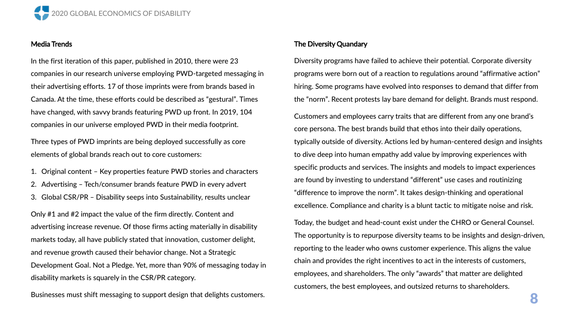

#### Media Trends

In the first iteration of this paper, published in 2010, there were 23 companies in our research universe employing PWD-targeted messaging in their advertising efforts. 17 of those imprints were from brands based in Canada. At the time, these efforts could be described as "gestural". Times have changed, with savvy brands featuring PWD up front. In 2019, 104 companies in our universe employed PWD in their media footprint.

Three types of PWD imprints are being deployed successfully as core elements of global brands reach out to core customers:

1. Original content – Key properties feature PWD stories and characters Advertising - Tech/consumer brands feature PWD in every advert 3. Global CSR/PR – Disability seeps into Sustainability, results unclear

Only #1 and #2 impact the value of the firm directly. Content and advertising increase revenue. Of those firms acting materially in disability markets today, all have publicly stated that innovation, customer delight, and revenue growth caused their behavior change. Not a Strategic Development Goal. Not a Pledge. Yet, more than 90% of messaging today in disability markets is squarely in the CSR/PR category.

Businesses must shift messaging to support design that delights customers.

#### The Diversity Quandary

Diversity programs have failed to achieve their potential. Corporate diversity programs were born out of a reaction to regulations around "affirmative action" hiring. Some programs have evolved into responses to demand that differ from the "norm". Recent protests lay bare demand for delight. Brands must respond.

Customers and employees carry traits that are different from any one brand's core persona. The best brands build that ethos into their daily operations, typically outside of diversity. Actions led by human-centered design and insights to dive deep into human empathy add value by improving experiences with specific products and services. The insights and models to impact experiences are found by investing to understand "different" use cases and routinizing "difference to improve the norm". It takes design-thinking and operational excellence. Compliance and charity is a blunt tactic to mitigate noise and risk.

Today, the budget and head-count exist under the CHRO or General Counsel. The opportunity is to repurpose diversity teams to be insights and design-driven, reporting to the leader who owns customer experience. This aligns the value chain and provides the right incentives to act in the interests of customers, employees, and shareholders. The only "awards" that matter are delighted customers, the best employees, and outsized returns to shareholders.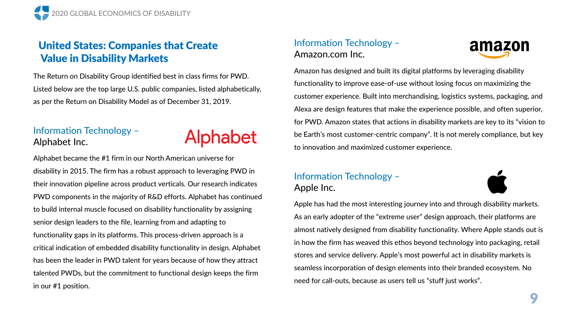# United States: Companies that Create Value in Disability Markets

The Return on Disability Group identified best in class firms for PWD. Listed below are the top large U.S. public companies, listed alphabetically, as per the Return on Disability Model as of December 31, 2019.

# Information Technology – Alphabet Inc.

# Alphabet

Alphabet became the #1 firm in our North American universe for disability in 2015. The firm has a robust approach to leveraging PWD in their innovation pipeline across product verticals. Our research indicates PWD components in the majority of R&D efforts. Alphabet has continued to build internal muscle focused on disability functionality by assigning senior design leaders to the file, learning from and adapting to functionality gaps in its platforms. This process-driven approach is a critical indication of embedded disability functionality in design. Alphabet has been the leader in PWD talent for years because of how they attract talented PWDs, but the commitment to functional design keeps the firm in our #1 position.

## Information Technology – Amazon.com Inc.



Amazon has designed and built its digital platforms by leveraging disability functionality to improve ease-of-use without losing focus on maximizing the customer experience. Built into merchandising, logistics systems, packaging, and Alexa are design features that make the experience possible, and often superior, for PWD. Amazon states that actions in disability markets are key to its "vision to be Earth's most customer-centric company". It is not merely compliance, but key to innovation and maximized customer experience.

# Information Technology – Apple Inc.



Apple has had the most interesting journey into and through disability markets. As an early adopter of the "extreme user" design approach, their platforms are almost natively designed from disability functionality. Where Apple stands out is in how the firm has weaved this ethos beyond technology into packaging, retail stores and service delivery. Apple's most powerful act in disability markets is seamless incorporation of design elements into their branded ecosystem. No need for call-outs, because as users tell us "stuff just works".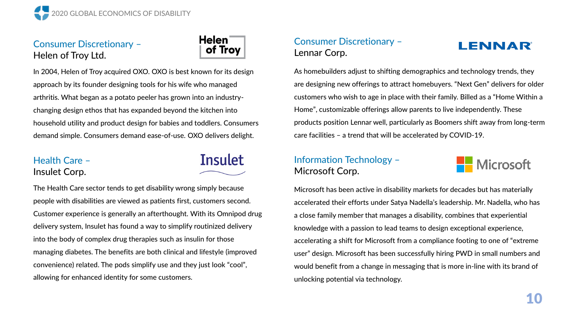

# Consumer Discretionary – Helen of Troy Ltd.



In 2004, Helen of Troy acquired OXO. OXO is best known for its design approach by its founder designing tools for his wife who managed arthritis. What began as a potato peeler has grown into an industrychanging design ethos that has expanded beyond the kitchen into household utility and product design for babies and toddlers. Consumers demand simple. Consumers demand ease-of-use. OXO delivers delight.

#### Health Care – Insulet Corp.

**Insulet** 

The Health Care sector tends to get disability wrong simply because people with disabilities are viewed as patients first, customers second. Customer experience is generally an afterthought. With its Omnipod drug delivery system, Insulet has found a way to simplify routinized delivery into the body of complex drug therapies such as insulin for those managing diabetes. The benefits are both clinical and lifestyle (improved convenience) related. The pods simplify use and they just look "cool", allowing for enhanced identity for some customers.

### Consumer Discretionary – Lennar Corp.

# **LENNAR**

As homebuilders adjust to shifting demographics and technology trends, they are designing new offerings to attract homebuyers. "Next Gen" delivers for older customers who wish to age in place with their family. Billed as a "Home Within a Home", customizable offerings allow parents to live independently. These products position Lennar well, particularly as Boomers shift away from long-term care facilities – a trend that will be accelerated by COVID-19.

## Information Technology – Microsoft Corp.



Microsoft has been active in disability markets for decades but has materially accelerated their efforts under Satya Nadella's leadership. Mr. Nadella, who has a close family member that manages a disability, combines that experiential knowledge with a passion to lead teams to design exceptional experience, accelerating a shift for Microsoft from a compliance footing to one of "extreme user" design. Microsoft has been successfully hiring PWD in small numbers and would benefit from a change in messaging that is more in-line with its brand of unlocking potential via technology.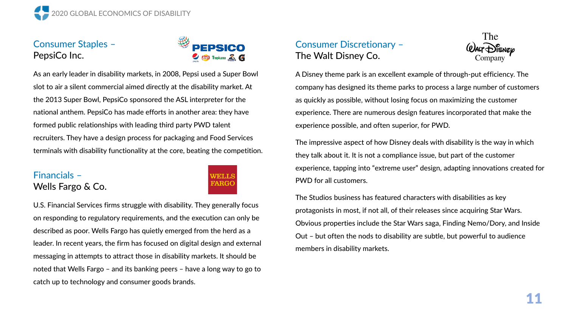

## Consumer Staples – PepsiCo Inc.



As an early leader in disability markets, in 2008, Pepsi used a Super Bowl slot to air a silent commercial aimed directly at the disability market. At the 2013 Super Bowl, PepsiCo sponsored the ASL interpreter for the national anthem. PepsiCo has made efforts in another area: they have formed public relationships with leading third party PWD talent recruiters. They have a design process for packaging and Food Services terminals with disability functionality at the core, beating the competition.

#### Financials – Wells Fargo & Co.

# WEILLS FARGC

U.S. Financial Services firms struggle with disability. They generally focus on responding to regulatory requirements, and the execution can only be described as poor. Wells Fargo has quietly emerged from the herd as a leader. In recent years, the firm has focused on digital design and external messaging in attempts to attract those in disability markets. It should be noted that Wells Fargo – and its banking peers – have a long way to go to catch up to technology and consumer goods brands.

# Consumer Discretionary – The Walt Disney Co.



A Disney theme park is an excellent example of through-put efficiency. The company has designed its theme parks to process a large number of customers as quickly as possible, without losing focus on maximizing the customer experience. There are numerous design features incorporated that make the experience possible, and often superior, for PWD.

The impressive aspect of how Disney deals with disability is the way in which they talk about it. It is not a compliance issue, but part of the customer experience, tapping into "extreme user" design, adapting innovations created for PWD for all customers.

The Studios business has featured characters with disabilities as key protagonists in most, if not all, of their releases since acquiring Star Wars. Obvious properties include the Star Wars saga, Finding Nemo/Dory, and Inside Out – but often the nods to disability are subtle, but powerful to audience members in disability markets.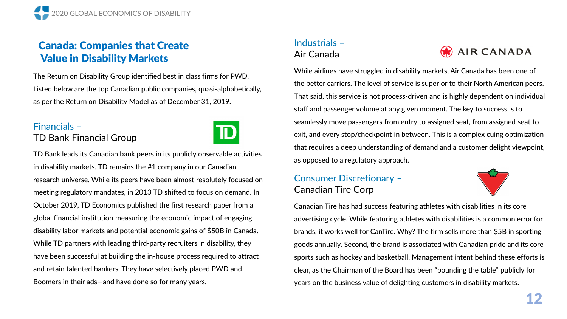# Canada: Companies that Create Value in Disability Markets

The Return on Disability Group identified best in class firms for PWD. Listed below are the top Canadian public companies, quasi-alphabetically, as per the Return on Disability Model as of December 31, 2019.

## Financials – TD Bank Financial Group



TD Bank leads its Canadian bank peers in its publicly observable activities in disability markets. TD remains the #1 company in our Canadian research universe. While its peers have been almost resolutely focused on meeting regulatory mandates, in 2013 TD shifted to focus on demand. In October 2019, TD Economics published the first research paper from a global financial institution measuring the economic impact of engaging disability labor markets and potential economic gains of \$50B in Canada. While TD partners with leading third-party recruiters in disability, they have been successful at building the in-house process required to attract and retain talented bankers. They have selectively placed PWD and Boomers in their ads—and have done so for many years.

# Industrials – Air Canada



While airlines have struggled in disability markets, Air Canada has been one of the better carriers. The level of service is superior to their North American peers. That said, this service is not process-driven and is highly dependent on individual staff and passenger volume at any given moment. The key to success is to seamlessly move passengers from entry to assigned seat, from assigned seat to exit, and every stop/checkpoint in between. This is a complex cuing optimization that requires a deep understanding of demand and a customer delight viewpoint, as opposed to a regulatory approach.

## Consumer Discretionary – Canadian Tire Corp



Canadian Tire has had success featuring athletes with disabilities in its core advertising cycle. While featuring athletes with disabilities is a common error for brands, it works well for CanTire. Why? The firm sells more than \$5B in sporting goods annually. Second, the brand is associated with Canadian pride and its core sports such as hockey and basketball. Management intent behind these efforts is clear, as the Chairman of the Board has been "pounding the table" publicly for years on the business value of delighting customers in disability markets.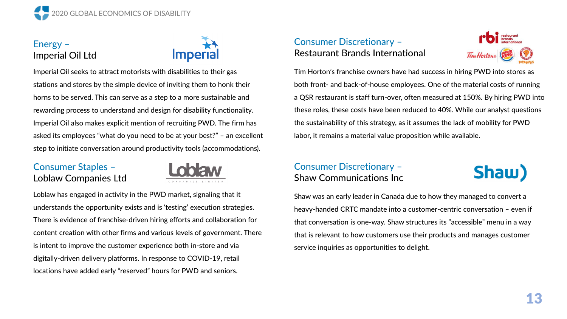

## Energy – Imperial Oil Ltd



Imperial Oil seeks to attract motorists with disabilities to their gas stations and stores by the simple device of inviting them to honk their horns to be served. This can serve as a step to a more sustainable and rewarding process to understand and design for disability functionality. Imperial Oil also makes explicit mention of recruiting PWD. The firm has asked its employees "what do you need to be at your best?" – an excellent step to initiate conversation around productivity tools (accommodations).

## Consumer Staples – Loblaw Companies Ltd



Loblaw has engaged in activity in the PWD market, signaling that it understands the opportunity exists and is 'testing' execution strategies. There is evidence of franchise-driven hiring efforts and collaboration for content creation with other firms and various levels of government. There is intent to improve the customer experience both in-store and via digitally-driven delivery platforms. In response to COVID-19, retail locations have added early "reserved" hours for PWD and seniors.

## Consumer Discretionary – Restaurant Brands International



Tim Horton's franchise owners have had success in hiring PWD into stores as both front- and back-of-house employees. One of the material costs of running a QSR restaurant is staff turn-over, often measured at 150%. By hiring PWD into these roles, these costs have been reduced to 40%. While our analyst questions the sustainability of this strategy, as it assumes the lack of mobility for PWD labor, it remains a material value proposition while available.

## Consumer Discretionary – Shaw Communications Inc

Shaw)

Shaw was an early leader in Canada due to how they managed to convert a heavy-handed CRTC mandate into a customer-centric conversation – even if that conversation is one-way. Shaw structures its "accessible" menu in a way that is relevant to how customers use their products and manages customer service inquiries as opportunities to delight.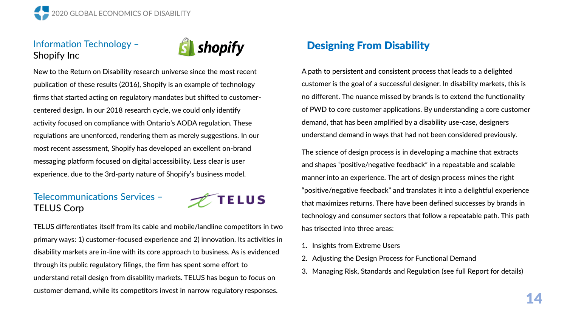

## Information Technology – Shopify Inc



New to the Return on Disability research universe since the most recent publication of these results (2016), Shopify is an example of technology firms that started acting on regulatory mandates but shifted to customercentered design. In our 2018 research cycle, we could only identify activity focused on compliance with Ontario's AODA regulation. These regulations are unenforced, rendering them as merely suggestions. In our most recent assessment, Shopify has developed an excellent on-brand messaging platform focused on digital accessibility. Less clear is user experience, due to the 3rd-party nature of Shopify's business model.

### Telecommunications Services – TELUS Corp



TELUS differentiates itself from its cable and mobile/landline competitors in two primary ways: 1) customer-focused experience and 2) innovation. Its activities in disability markets are in-line with its core approach to business. As is evidenced through its public regulatory filings, the firm has spent some effort to understand retail design from disability markets. TELUS has begun to focus on customer demand, while its competitors invest in narrow regulatory responses.

# Designing From Disability

A path to persistent and consistent process that leads to a delighted customer is the goal of a successful designer. In disability markets, this is no different. The nuance missed by brands is to extend the functionality of PWD to core customer applications. By understanding a core customer demand, that has been amplified by a disability use-case, designers understand demand in ways that had not been considered previously.

The science of design process is in developing a machine that extracts and shapes "positive/negative feedback" in a repeatable and scalable manner into an experience. The art of design process mines the right "positive/negative feedback" and translates it into a delightful experience that maximizes returns. There have been defined successes by brands in technology and consumer sectors that follow a repeatable path. This path has trisected into three areas:

- 1. Insights from Extreme Users
- 2. Adjusting the Design Process for Functional Demand
- 3. Managing Risk, Standards and Regulation (see full Report for details)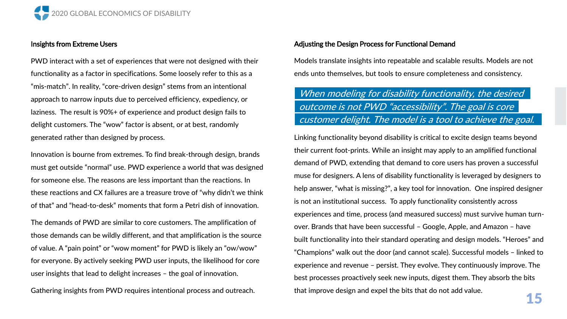

#### Insights from Extreme Users

PWD interact with a set of experiences that were not designed with their functionality as a factor in specifications. Some loosely refer to this as a "mis-match". In reality, "core-driven design" stems from an intentional approach to narrow inputs due to perceived efficiency, expediency, or laziness. The result is 90%+ of experience and product design fails to delight customers. The "wow" factor is absent, or at best, randomly generated rather than designed by process.

Innovation is bourne from extremes. To find break-through design, brands must get outside "normal" use. PWD experience a world that was designed for someone else. The reasons are less important than the reactions. In these reactions and CX failures are a treasure trove of "why didn't we think of that" and "head-to-desk" moments that form a Petri dish of innovation.

The demands of PWD are similar to core customers. The amplification of those demands can be wildly different, and that amplification is the source of value. A "pain point" or "wow moment" for PWD is likely an "ow/wow" for everyone. By actively seeking PWD user inputs, the likelihood for core user insights that lead to delight increases – the goal of innovation.

Gathering insights from PWD requires intentional process and outreach.

#### Adjusting the Design Process for Functional Demand

Models translate insights into repeatable and scalable results. Models are not ends unto themselves, but tools to ensure completeness and consistency.

# When modeling for disability functionality, the desired outcome is not PWD "accessibility". The goal is core customer delight. The model is a tool to achieve the goal.

Linking functionality beyond disability is critical to excite design teams beyond their current foot-prints. While an insight may apply to an amplified functional demand of PWD, extending that demand to core users has proven a successful muse for designers. A lens of disability functionality is leveraged by designers to help answer, "what is missing?", a key tool for innovation. One inspired designer is not an institutional success. To apply functionality consistently across experiences and time, process (and measured success) must survive human turnover. Brands that have been successful – Google, Apple, and Amazon – have built functionality into their standard operating and design models. "Heroes" and "Champions" walk out the door (and cannot scale). Successful models – linked to experience and revenue – persist. They evolve. They continuously improve. The best processes proactively seek new inputs, digest them. They absorb the bits that improve design and expel the bits that do not add value.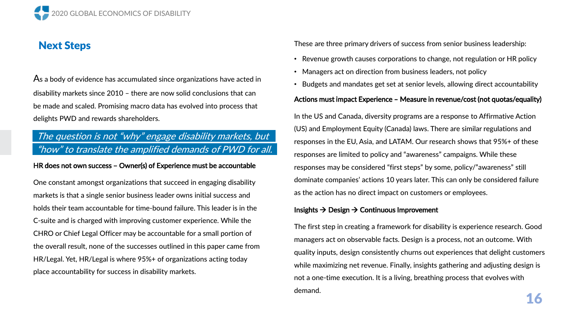2020 GLOBAL ECONOMICS OF DISABILITY

# Next Steps

As a body of evidence has accumulated since organizations have acted in disability markets since 2010 – there are now solid conclusions that can be made and scaled. Promising macro data has evolved into process that delights PWD and rewards shareholders.

# The question is not "why" engage disability markets, but "how" to translate the amplified demands of PWD for all.

#### HR does not own success – Owner(s) of Experience must be accountable

One constant amongst organizations that succeed in engaging disability markets is that a single senior business leader owns initial success and holds their team accountable for time-bound failure. This leader is in the C-suite and is charged with improving customer experience. While the CHRO or Chief Legal Officer may be accountable for a small portion of the overall result, none of the successes outlined in this paper came from HR/Legal. Yet, HR/Legal is where 95%+ of organizations acting today place accountability for success in disability markets.

These are three primary drivers of success from senior business leadership:

- Revenue growth causes corporations to change, not regulation or HR policy
- Managers act on direction from business leaders, not policy
- Budgets and mandates get set at senior levels, allowing direct accountability

#### Actions must impact Experience – Measure in revenue/cost (not quotas/equality)

In the US and Canada, diversity programs are a response to Affirmative Action (US) and Employment Equity (Canada) laws. There are similar regulations and responses in the EU, Asia, and LATAM. Our research shows that 95%+ of these responses are limited to policy and "awareness" campaigns. While these responses may be considered "first steps" by some, policy/"awareness" still dominate companies' actions 10 years later. This can only be considered failure as the action has no direct impact on customers or employees.

#### Insights  $\rightarrow$  Design  $\rightarrow$  Continuous Improvement

The first step in creating a framework for disability is experience research. Good managers act on observable facts. Design is a process, not an outcome. With quality inputs, design consistently churns out experiences that delight customers while maximizing net revenue. Finally, insights gathering and adjusting design is not a one-time execution. It is a living, breathing process that evolves with demand.